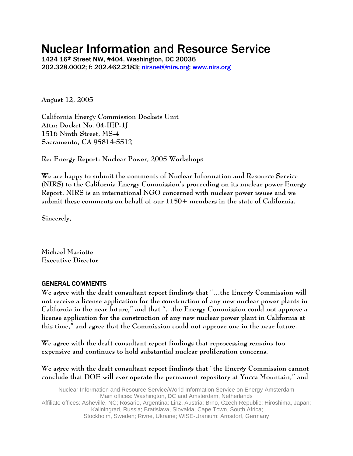# Nuclear Information and Resource Service

1424 16th Street NW, #404, Washington, DC 20036 202.328.0002; f: 202.462.2183; [nirsnet@nirs.org](mailto:nirsnet@nirs.org); [www.nirs.org](http://www.nirs.org/)

**August 12, 2005** 

**California Energy Commission Dockets Unit Attn: Docket No. 04-IEP-1J 1516 Ninth Street, MS-4 Sacramento, CA 95814-5512** 

**Re: Energy Report: Nuclear Power, 2005 Workshops** 

**We are happy to submit the comments of Nuclear Information and Resource Service (NIRS) to the California Energy Commission's proceeding on its nuclear power Energy Report. NIRS is an international NGO concerned with nuclear power issues and we submit these comments on behalf of our 1150+ members in the state of California.** 

**Sincerely,** 

**Michael Mariotte Executive Director** 

#### GENERAL COMMENTS

**We agree with the draft consultant report findings that "…the Energy Commission will not receive a license application for the construction of any new nuclear power plants in California in the near future," and that "…the Energy Commission could not approve a license application for the construction of any new nuclear power plant in California at this time," and agree that the Commission could not approve one in the near future.** 

**We agree with the draft consultant report findings that reprocessing remains too expensive and continues to hold substantial nuclear proliferation concerns.** 

**We agree with the draft consultant report findings that "the Energy Commission cannot conclude that DOE will ever operate the permanent repository at Yucca Mountain," and**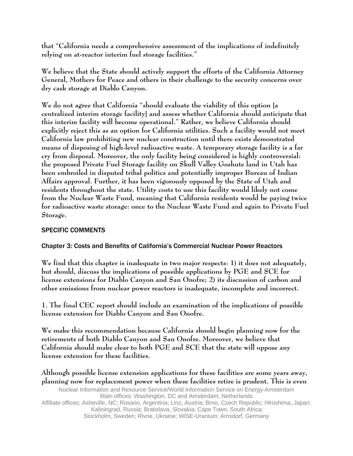**that "California needs a comprehensive assessment of the implications of indefinitely relying on at-reactor interim fuel storage facilities."** 

**We believe that the State should actively support the efforts of the California Attorney General, Mothers for Peace and others in their challenge to the security concerns over dry cask storage at Diablo Canyon.** 

**We do not agree that California "should evaluate the viability of this option [a centralized interim storage facility] and assess whether California should anticipate that this interim facility will become operational." Rather, we believe California should explicitly reject this as an option for California utilities. Such a facility would not meet California law prohibiting new nuclear construction until there exists demonstrated means of disposing of high-level radioactive waste. A temporary storage facility is a far cry from disposal. Moreover, the only facility being considered is highly controversial: the proposed Private Fuel Storage facility on Skull Valley Goshute land in Utah has been embroiled in disputed tribal politics and potentially improper Bureau of Indian Affairs approval. Further, it has been vigorously opposed by the State of Utah and residents throughout the state. Utility costs to use this facility would likely not come from the Nuclear Waste Fund, meaning that California residents would be paying twice for radioactive waste storage: once to the Nuclear Waste Fund and again to Private Fuel Storage.** 

## SPECIFIC COMMENTS

### Chapter 3: Costs and Benefits of California's Commercial Nuclear Power Reactors

**We find that this chapter is inadequate in two major respects: 1) it does not adequately, but should, discuss the implications of possible applications by PGE and SCE for license extensions for Diablo Canyon and San Onofre; 2) its discussion of carbon and other emissions from nuclear power reactors is inadequate, incomplete and incorrect.** 

**1. The final CEC report should include an examination of the implications of possible license extension for Diablo Canyon and San Onofre.** 

**We make this recommendation because California should begin planning now for the retirements of both Diablo Canyon and San Onofre. Moreover, we believe that California should make clear to both PGE and SCE that the state will oppose any license extension for these facilities.** 

Nuclear Information and Resource Service/World Information Service on Energy-Amsterdam Main offices: Washington, DC and Amsterdam, Netherlands Affiliate offices: Asheville, NC; Rosario, Argentina; Linz, Austria; Brno, Czech Republic; Hiroshima, Japan; Kaliningrad, Russia; Bratislava, Slovakia; Cape Town, South Africa; Stockholm, Sweden; Rivne, Ukraine; WISE-Uranium: Arnsdorf, Germany **Although possible license extension applications for these facilities are some years away, planning now for replacement power when these facilities retire is prudent. This is even**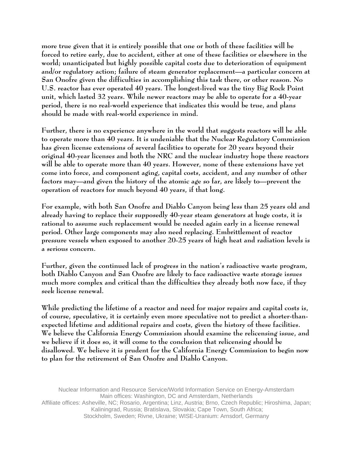**more true given that it is entirely possible that one or both of these facilities will be forced to retire early, due to accident, either at one of these facilities or elsewhere in the world; unanticipated but highly possible capital costs due to deterioration of equipment and/or regulatory action; failure of steam generator replacement—a particular concern at San Onofre given the difficulties in accomplishing this task there, or other reason. No U.S. reactor has ever operated 40 years. The longest-lived was the tiny Big Rock Point unit, which lasted 32 years. While newer reactors may be able to operate for a 40-year period, there is no real-world experience that indicates this would be true, and plans should be made with real-world experience in mind.** 

**Further, there is no experience anywhere in the world that suggests reactors will be able to operate more than 40 years. It is undeniable that the Nuclear Regulatory Commission has given license extensions of several facilities to operate for 20 years beyond their original 40-year licenses and both the NRC and the nuclear industry hope these reactors will be able to operate more than 40 years. However, none of these extensions have yet come into force, and component aging, capital costs, accident, and any number of other factors may—and given the history of the atomic age so far, are likely to—prevent the operation of reactors for much beyond 40 years, if that long.** 

**For example, with both San Onofre and Diablo Canyon being less than 25 years old and already having to replace their supposedly 40-year steam generators at huge costs, it is rational to assume such replacement would be needed again early in a license renewal period. Other large components may also need replacing. Embrittlement of reactor pressure vessels when exposed to another 20-25 years of high heat and radiation levels is a serious concern.** 

**Further, given the continued lack of progress in the nation's radioactive waste program, both Diablo Canyon and San Onofre are likely to face radioactive waste storage issues much more complex and critical than the difficulties they already both now face, if they seek license renewal.** 

**While predicting the lifetime of a reactor and need for major repairs and capital costs is, of course, speculative, it is certainly even more speculative not to predict a shorter-thanexpected lifetime and additional repairs and costs, given the history of these facilities. We believe the California Energy Commission should examine the relicensing issue, and we believe if it does so, it will come to the conclusion that relicensing should be disallowed. We believe it is prudent for the California Energy Commission to begin now to plan for the retirement of San Onofre and Diablo Canyon.**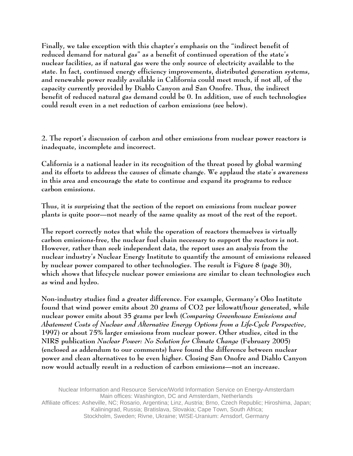**Finally, we take exception with this chapter's emphasis on the "indirect benefit of reduced demand for natural gas" as a benefit of continued operation of the state's nuclear facilities, as if natural gas were the only source of electricity available to the state. In fact, continued energy efficiency improvements, distributed generation systems, and renewable power readily available in California could meet much, if not all, of the capacity currently provided by Diablo Canyon and San Onofre. Thus, the indirect benefit of reduced natural gas demand could be 0. In addition, use of such technologies could result even in a net reduction of carbon emissions (see below).** 

**2. The report's discussion of carbon and other emissions from nuclear power reactors is inadequate, incomplete and incorrect.** 

**California is a national leader in its recognition of the threat posed by global warming and its efforts to address the causes of climate change. We applaud the state's awareness in this area and encourage the state to continue and expand its programs to reduce carbon emissions.** 

**Thus, it is surprising that the section of the report on emissions from nuclear power plants is quite poor—not nearly of the same quality as most of the rest of the report.** 

**The report correctly notes that while the operation of reactors themselves is virtually carbon emissions-free, the nuclear fuel chain necessary to support the reactors is not. However, rather than seek independent data, the report uses an analysis from the nuclear industry's Nuclear Energy Institute to quantify the amount of emissions released by nuclear power compared to other technologies. The result is Figure 8 (page 30), which shows that lifecycle nuclear power emissions are similar to clean technologies such as wind and hydro.** 

**Non-industry studies find a greater difference. For example, Germany's Oko Institute found that wind power emits about 20 grams of CO2 per kilowatt/hour generated, while nuclear power emits about 35 grams per kwh (***Comparing Greenhouse Emissions and Abatement Costs of Nuclear and Alternative Energy Options from a Life-Cycle Perspective***, 1997) or about 75% larger emissions from nuclear power. Other studies, cited in the NIRS publication** *Nuclear Power: No Solution for Climate Change* **(February 2005) (enclosed as addendum to our comments) have found the difference between nuclear power and clean alternatives to be even higher. Closing San Onofre and Diablo Canyon now would actually result in a reduction of carbon emissions—not an increase.** 

Nuclear Information and Resource Service/World Information Service on Energy-Amsterdam Main offices: Washington, DC and Amsterdam, Netherlands Affiliate offices: Asheville, NC; Rosario, Argentina; Linz, Austria; Brno, Czech Republic; Hiroshima, Japan;

> Kaliningrad, Russia; Bratislava, Slovakia; Cape Town, South Africa; Stockholm, Sweden; Rivne, Ukraine; WISE-Uranium: Arnsdorf, Germany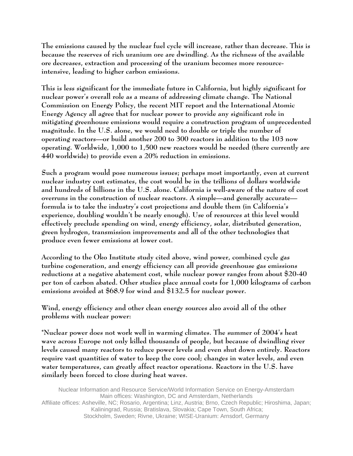**The emissions caused by the nuclear fuel cycle will increase, rather than decrease. This is because the reserves of rich uranium ore are dwindling. As the richness of the available ore decreases, extraction and processing of the uranium becomes more resourceintensive, leading to higher carbon emissions.** 

**This is less significant for the immediate future in California, but highly significant for nuclear power's overall role as a means of addressing climate change. The National Commission on Energy Policy, the recent MIT report and the International Atomic Energy Agency all agree that for nuclear power to provide any significant role in mitigating greenhouse emissions would require a construction program of unprecedented magnitude. In the U.S. alone, we would need to double or triple the number of operating reactors—or build another 200 to 300 reactors in addition to the 103 now operating. Worldwide, 1,000 to 1,500 new reactors would be needed (there currently are 440 worldwide) to provide even a 20% reduction in emissions.** 

**Such a program would pose numerous issues; perhaps most importantly, even at current nuclear industry cost estimates, the cost would be in the trillions of dollars worldwide and hundreds of billions in the U.S. alone. California is well-aware of the nature of cost overruns in the construction of nuclear reactors. A simple—and generally accurate formula is to take the industry's cost projections and double them (in California's experience, doubling wouldn't be nearly enough). Use of resources at this level would effectively preclude spending on wind, energy efficiency, solar, distributed generation, green hydrogen, transmission improvements and all of the other technologies that produce even fewer emissions at lower cost.** 

**According to the Oko Institute study cited above, wind power, combined cycle gas turbine cogeneration, and energy efficiency can all provide greenhouse gas emissions reductions at a negative abatement cost, while nuclear power ranges from about \$20-40 per ton of carbon abated. Other studies place annual costs for 1,000 kilograms of carbon emissions avoided at \$68.9 for wind and \$132.5 for nuclear power.** 

**Wind, energy efficiency and other clean energy sources also avoid all of the other problems with nuclear power:** 

**\*Nuclear power does not work well in warming climates. The summer of 2004's heat wave across Europe not only killed thousands of people, but because of dwindling river levels caused many reactors to reduce power levels and even shut down entirely. Reactors require vast quantities of water to keep the core cool; changes in water levels, and even water temperatures, can greatly affect reactor operations. Reactors in the U.S. have similarly been forced to close during heat waves.**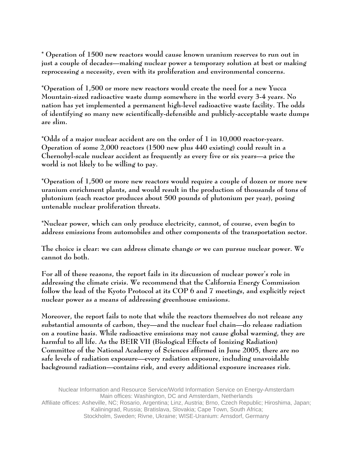**\* Operation of 1500 new reactors would cause known uranium reserves to run out in just a couple of decades—making nuclear power a temporary solution at best or making reprocessing a necessity, even with its proliferation and environmental concerns.** 

**\*Operation of 1,500 or more new reactors would create the need for a new Yucca Mountain-sized radioactive waste dump somewhere in the world every 3-4 years. No nation has yet implemented a permanent high-level radioactive waste facility. The odds of identifying so many new scientifically-defensible and publicly-acceptable waste dumps are slim.** 

**\*Odds of a major nuclear accident are on the order of 1 in 10,000 reactor-years. Operation of some 2,000 reactors (1500 new plus 440 existing) could result in a Chernobyl-scale nuclear accident as frequently as every five or six years—a price the world is not likely to be willing to pay.** 

**\*Operation of 1,500 or more new reactors would require a couple of dozen or more new uranium enrichment plants, and would result in the production of thousands of tons of plutonium (each reactor produces about 500 pounds of plutonium per year), posing untenable nuclear proliferation threats.** 

**\*Nuclear power, which can only produce electricity, cannot, of course, even begin to address emissions from automobiles and other components of the transportation sector.** 

**The choice is clear: we can address climate change** *or* **we can pursue nuclear power. We cannot do both.** 

**For all of these reasons, the report fails in its discussion of nuclear power's role in addressing the climate crisis. We recommend that the California Energy Commission follow the lead of the Kyoto Protocol at its COP 6 and 7 meetings, and explicitly reject nuclear power as a means of addressing greenhouse emissions.** 

**Moreover, the report fails to note that while the reactors themselves do not release any substantial amounts of carbon, they—and the nuclear fuel chain—do release radiation on a routine basis. While radioactive emissions may not cause global warming, they are harmful to all life. As the BEIR VII (Biological Effects of Ionizing Radiation) Committee of the National Academy of Sciences affirmed in June 2005, there are no safe levels of radiation exposure—every radiation exposure, including unavoidable background radiation—contains risk, and every additional exposure increases risk.**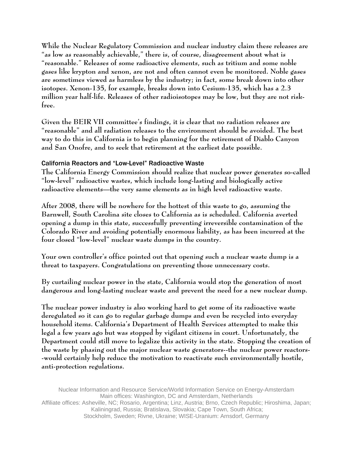**While the Nuclear Regulatory Commission and nuclear industry claim these releases are "as low as reasonably achievable," there is, of course, disagreement about what is "reasonable." Releases of some radioactive elements, such as tritium and some noble gases like krypton and xenon, are not and often cannot even be monitored. Noble gases are sometimes viewed as harmless by the industry; in fact, some break down into other isotopes. Xenon-135, for example, breaks down into Cesium-135, which has a 2.3 million year half-life. Releases of other radioisotopes may be low, but they are not riskfree.** 

**Given the BEIR VII committee's findings, it is clear that no radiation releases are "reasonable" and all radiation releases to the environment should be avoided. The best way to do this in California is to begin planning for the retirement of Diablo Canyon and San Onofre, and to seek that retirement at the earliest date possible.** 

#### California Reactors and "Low-Level" Radioactive Waste

**The California Energy Commission should realize that nuclear power generates so-called "low-level" radioactive wastes, which include long-lasting and biologically active radioactive elements—the very same elements as in high level radioactive waste.** 

**After 2008, there will be nowhere for the hottest of this waste to go, assuming the Barnwell, South Carolina site closes to California as is scheduled. California averted opening a dump in this state, successfully preventing irreversible contamination of the Colorado River and avoiding potentially enormous liability, as has been incurred at the four closed "low-level" nuclear waste dumps in the country.** 

**Your own controller's office pointed out that opening such a nuclear waste dump is a threat to taxpayers. Congratulations on preventing those unnecessary costs.** 

**By curtailing nuclear power in the state, California would stop the generation of most dangerous and long-lasting nuclear waste and prevent the need for a new nuclear dump.** 

**The nuclear power industry is also working hard to get some of its radioactive waste deregulated so it can go to regular garbage dumps and even be recycled into everyday household items. California's Department of Health Services attempted to make this legal a few years ago but was stopped by vigilant citizens in court. Unfortunately, the Department could still move to legalize this activity in the state. Stopping the creation of the waste by phasing out the major nuclear waste generators--the nuclear power reactors- -would certainly help reduce the motivation to reactivate such environmentally hostile, anti-protection regulations.**